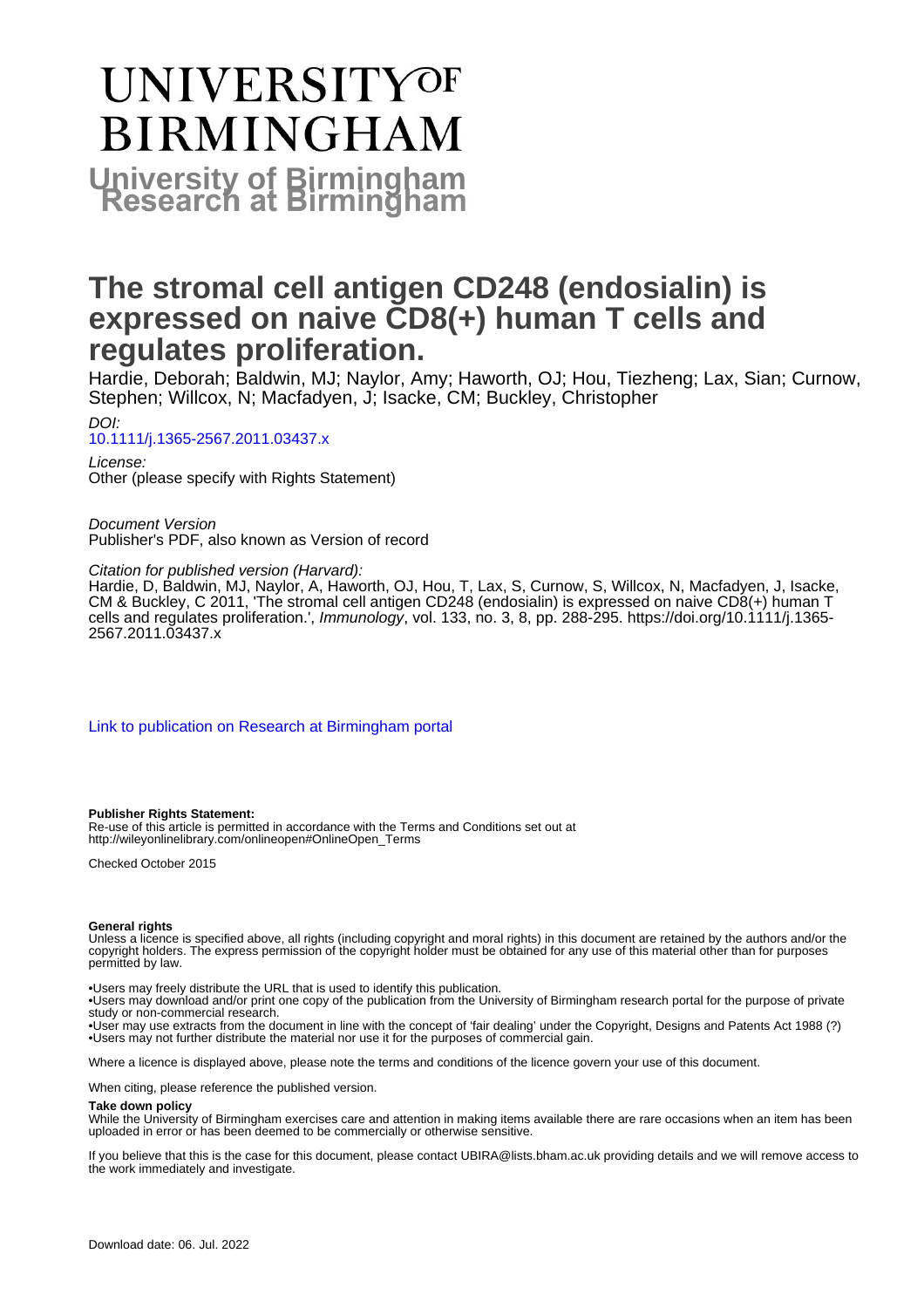# UNIVERSITYOF **BIRMINGHAM University of Birmingham**

# **The stromal cell antigen CD248 (endosialin) is expressed on naive CD8(+) human T cells and regulates proliferation.**

Hardie, Deborah; Baldwin, MJ; Naylor, Amy; Haworth, OJ; Hou, Tiezheng; Lax, Sian; Curnow, Stephen; Willcox, N; Macfadyen, J; Isacke, CM; Buckley, Christopher

DOI: [10.1111/j.1365-2567.2011.03437.x](https://doi.org/10.1111/j.1365-2567.2011.03437.x)

License: Other (please specify with Rights Statement)

Document Version Publisher's PDF, also known as Version of record

Citation for published version (Harvard):

Hardie, D, Baldwin, MJ, Naylor, A, Haworth, OJ, Hou, T, Lax, S, Curnow, S, Willcox, N, Macfadyen, J, Isacke, CM & Buckley, C 2011, 'The stromal cell antigen CD248 (endosialin) is expressed on naive CD8(+) human T cells and regulates proliferation.', Immunology, vol. 133, no. 3, 8, pp. 288-295. [https://doi.org/10.1111/j.1365-](https://doi.org/10.1111/j.1365-2567.2011.03437.x) [2567.2011.03437.x](https://doi.org/10.1111/j.1365-2567.2011.03437.x)

[Link to publication on Research at Birmingham portal](https://birmingham.elsevierpure.com/en/publications/2f4ffd1c-d70d-4775-b0ce-bb894b6d37de)

#### **Publisher Rights Statement:**

Re-use of this article is permitted in accordance with the Terms and Conditions set out at http://wileyonlinelibrary.com/onlineopen#OnlineOpen\_Terms

Checked October 2015

#### **General rights**

Unless a licence is specified above, all rights (including copyright and moral rights) in this document are retained by the authors and/or the copyright holders. The express permission of the copyright holder must be obtained for any use of this material other than for purposes permitted by law.

• Users may freely distribute the URL that is used to identify this publication.

• Users may download and/or print one copy of the publication from the University of Birmingham research portal for the purpose of private study or non-commercial research.

• User may use extracts from the document in line with the concept of 'fair dealing' under the Copyright, Designs and Patents Act 1988 (?) • Users may not further distribute the material nor use it for the purposes of commercial gain.

Where a licence is displayed above, please note the terms and conditions of the licence govern your use of this document.

When citing, please reference the published version.

#### **Take down policy**

While the University of Birmingham exercises care and attention in making items available there are rare occasions when an item has been uploaded in error or has been deemed to be commercially or otherwise sensitive.

If you believe that this is the case for this document, please contact UBIRA@lists.bham.ac.uk providing details and we will remove access to the work immediately and investigate.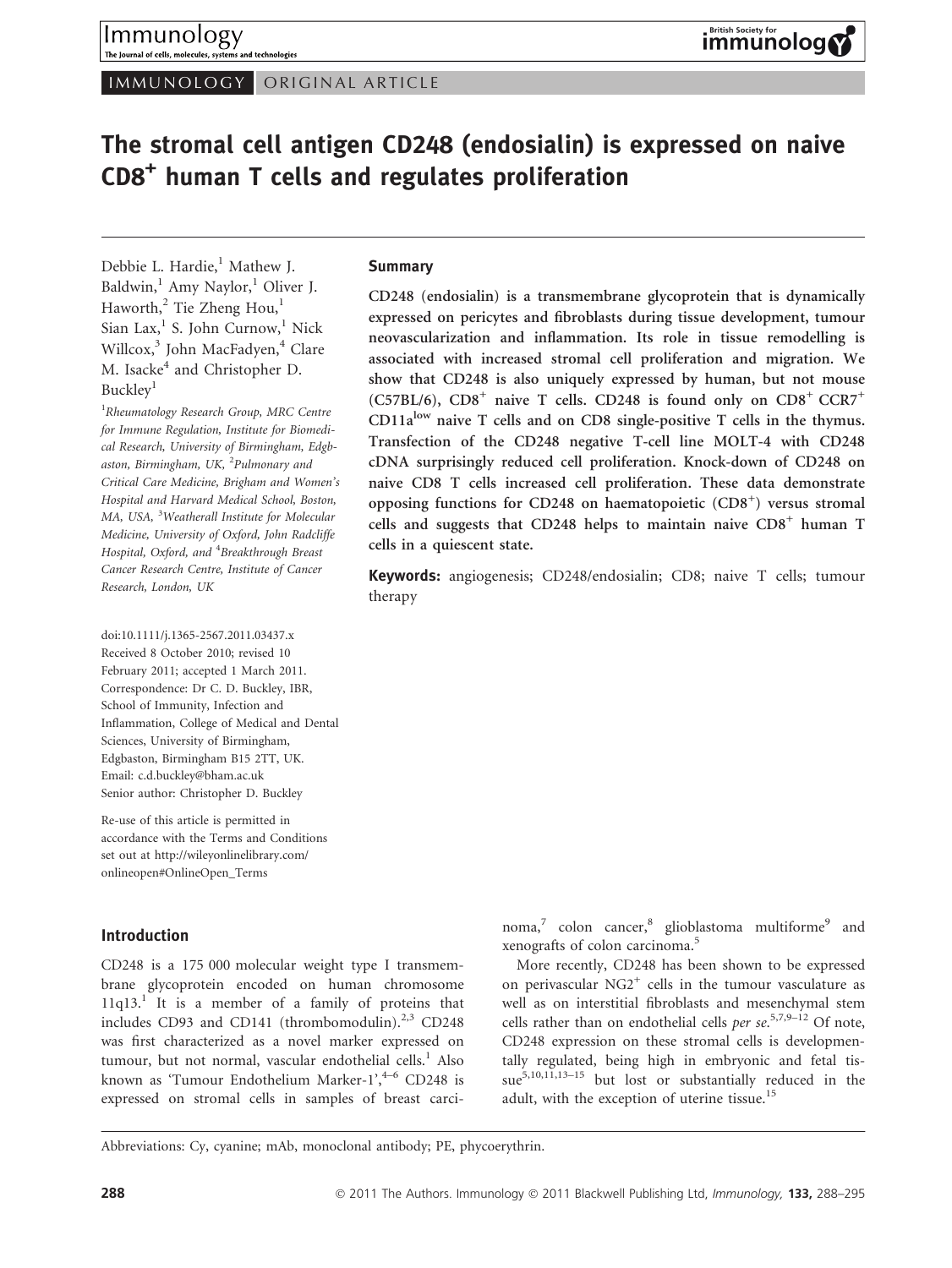IMMUNOLOGY ORIGINAL ARTICLE

# The stromal cell antigen CD248 (endosialin) is expressed on naive CD8<sup>+</sup> human T cells and regulates proliferation

Debbie L. Hardie,<sup>1</sup> Mathew J. Baldwin, $<sup>1</sup>$  Amy Naylor, $<sup>1</sup>$  Oliver J.</sup></sup>  $Haworth<sub>1</sub><sup>2</sup>$  Tie Zheng  $Hou<sub>1</sub><sup>1</sup>$ Sian Lax, $<sup>1</sup>$  S. John Curnow, $<sup>1</sup>$  Nick</sup></sup> Willcox,<sup>3</sup> John MacFadyen,<sup>4</sup> Clare M. Isacke<sup>4</sup> and Christopher D. Buckley<sup>1</sup>

<sup>1</sup>Rheumatology Research Group, MRC Centre for Immune Regulation, Institute for Biomedical Research, University of Birmingham, Edgbaston, Birmingham, UK, <sup>2</sup>Pulmonary and Critical Care Medicine, Brigham and Women's Hospital and Harvard Medical School, Boston, MA, USA, <sup>3</sup>Weatherall Institute for Molecular Medicine, University of Oxford, John Radcliffe Hospital, Oxford, and <sup>4</sup>Breakthrough Breast Cancer Research Centre, Institute of Cancer Research, London, UK

doi:10.1111/j.1365-2567.2011.03437.x Received 8 October 2010; revised 10 February 2011; accepted 1 March 2011. Correspondence: Dr C. D. Buckley, IBR, School of Immunity, Infection and Inflammation, College of Medical and Dental Sciences, University of Birmingham, Edgbaston, Birmingham B15 2TT, UK. Email: c.d.buckley@bham.ac.uk Senior author: Christopher D. Buckley

Re-use of this article is permitted in accordance with the Terms and Conditions set out at http://wileyonlinelibrary.com/ onlineopen#OnlineOpen\_Terms

# Introduction

CD248 is a 175 000 molecular weight type I transmembrane glycoprotein encoded on human chromosome  $11q13<sup>1</sup>$  It is a member of a family of proteins that includes CD93 and CD141 (thrombomodulin). $2,3$  CD248 was first characterized as a novel marker expressed on tumour, but not normal, vascular endothelial cells.<sup>1</sup> Also known as 'Tumour Endothelium Marker-1', $4-6$  CD248 is expressed on stromal cells in samples of breast carci-

# **Summary**

CD248 (endosialin) is a transmembrane glycoprotein that is dynamically expressed on pericytes and fibroblasts during tissue development, tumour neovascularization and inflammation. Its role in tissue remodelling is associated with increased stromal cell proliferation and migration. We show that CD248 is also uniquely expressed by human, but not mouse (C57BL/6),  $CD8^+$  naive T cells. CD248 is found only on  $CD8^+$  CCR7<sup>+</sup>  $CD11a<sup>low</sup>$  naive T cells and on CD8 single-positive T cells in the thymus. Transfection of the CD248 negative T-cell line MOLT-4 with CD248 cDNA surprisingly reduced cell proliferation. Knock-down of CD248 on naive CD8 T cells increased cell proliferation. These data demonstrate opposing functions for CD248 on haematopoietic (CD8<sup>+</sup>) versus stromal cells and suggests that CD248 helps to maintain naive  $CD8<sup>+</sup>$  human T cells in a quiescent state.

Keywords: angiogenesis; CD248/endosialin; CD8; naive T cells; tumour therapy

> noma, $\frac{7}{7}$  colon cancer, $\frac{8}{7}$  glioblastoma multiforme<sup>9</sup> and xenografts of colon carcinoma.<sup>5</sup>

> More recently, CD248 has been shown to be expressed on perivascular  $NG2^+$  cells in the tumour vasculature as well as on interstitial fibroblasts and mesenchymal stem cells rather than on endothelial cells per se.<sup>5,7,9-12</sup> Of note, CD248 expression on these stromal cells is developmentally regulated, being high in embryonic and fetal tissue $5,10,1\overline{1},13-15$  but lost or substantially reduced in the adult, with the exception of uterine tissue.<sup>15</sup>

Abbreviations: Cy, cyanine; mAb, monoclonal antibody; PE, phycoerythrin.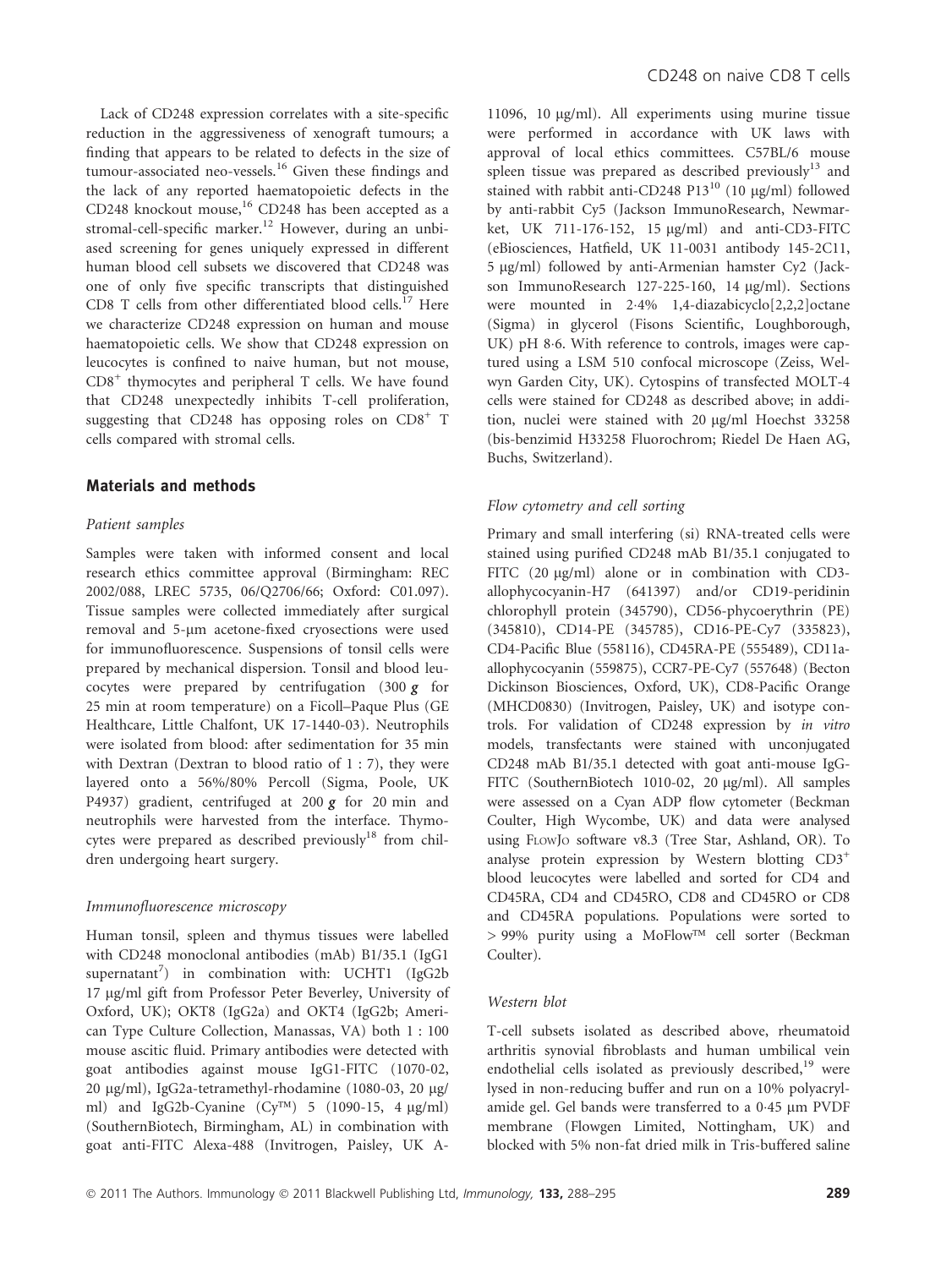Lack of CD248 expression correlates with a site-specific reduction in the aggressiveness of xenograft tumours; a finding that appears to be related to defects in the size of tumour-associated neo-vessels.<sup>16</sup> Given these findings and the lack of any reported haematopoietic defects in the CD248 knockout mouse,<sup>16</sup> CD248 has been accepted as a stromal-cell-specific marker.<sup>12</sup> However, during an unbiased screening for genes uniquely expressed in different human blood cell subsets we discovered that CD248 was one of only five specific transcripts that distinguished CD8 T cells from other differentiated blood cells.<sup>17</sup> Here we characterize CD248 expression on human and mouse haematopoietic cells. We show that CD248 expression on leucocytes is confined to naive human, but not mouse,  $CD8<sup>+</sup>$  thymocytes and peripheral T cells. We have found that CD248 unexpectedly inhibits T-cell proliferation, suggesting that CD248 has opposing roles on  $CD8<sup>+</sup>$  T cells compared with stromal cells.

# Materials and methods

### Patient samples

Samples were taken with informed consent and local research ethics committee approval (Birmingham: REC 2002/088, LREC 5735, 06/Q2706/66; Oxford: C01.097). Tissue samples were collected immediately after surgical removal and 5-um acetone-fixed cryosections were used for immunofluorescence. Suspensions of tonsil cells were prepared by mechanical dispersion. Tonsil and blood leucocytes were prepared by centrifugation  $(300 g$  for 25 min at room temperature) on a Ficoll–Paque Plus (GE Healthcare, Little Chalfont, UK 17-1440-03). Neutrophils were isolated from blood: after sedimentation for 35 min with Dextran (Dextran to blood ratio of 1 : 7), they were layered onto a 56%/80% Percoll (Sigma, Poole, UK P4937) gradient, centrifuged at 200  $g$  for 20 min and neutrophils were harvested from the interface. Thymocytes were prepared as described previously $18$  from children undergoing heart surgery.

#### Immunofluorescence microscopy

Human tonsil, spleen and thymus tissues were labelled with CD248 monoclonal antibodies (mAb) B1/35.1 (IgG1 supernatant<sup>7</sup>) in combination with: UCHT1 (IgG2b 17 lg/ml gift from Professor Peter Beverley, University of Oxford, UK); OKT8 (IgG2a) and OKT4 (IgG2b; American Type Culture Collection, Manassas, VA) both 1 : 100 mouse ascitic fluid. Primary antibodies were detected with goat antibodies against mouse IgG1-FITC (1070-02, 20 μg/ml), IgG2a-tetramethyl-rhodamine (1080-03, 20 μg/ ml) and IgG2b-Cyanine (Cy<sup>TM</sup>) 5 (1090-15, 4  $\mu$ g/ml) (SouthernBiotech, Birmingham, AL) in combination with goat anti-FITC Alexa-488 (Invitrogen, Paisley, UK A-

11096, 10  $\mu$ g/ml). All experiments using murine tissue were performed in accordance with UK laws with approval of local ethics committees. C57BL/6 mouse spleen tissue was prepared as described previously<sup>13</sup> and stained with rabbit anti-CD248 P13<sup>10</sup> (10  $\mu$ g/ml) followed by anti-rabbit Cy5 (Jackson ImmunoResearch, Newmarket, UK 711-176-152, 15  $\mu$ g/ml) and anti-CD3-FITC (eBiosciences, Hatfield, UK 11-0031 antibody 145-2C11, 5 lg/ml) followed by anti-Armenian hamster Cy2 (Jackson ImmunoResearch 127-225-160, 14 µg/ml). Sections were mounted in 2-4% 1,4-diazabicyclo[2,2,2]octane (Sigma) in glycerol (Fisons Scientific, Loughborough, UK) pH 8-6. With reference to controls, images were captured using a LSM 510 confocal microscope (Zeiss, Welwyn Garden City, UK). Cytospins of transfected MOLT-4 cells were stained for CD248 as described above; in addition, nuclei were stained with 20 µg/ml Hoechst 33258 (bis-benzimid H33258 Fluorochrom; Riedel De Haen AG, Buchs, Switzerland).

#### Flow cytometry and cell sorting

Primary and small interfering (si) RNA-treated cells were stained using purified CD248 mAb B1/35.1 conjugated to FITC (20  $\mu$ g/ml) alone or in combination with CD3allophycocyanin-H7 (641397) and/or CD19-peridinin chlorophyll protein (345790), CD56-phycoerythrin (PE) (345810), CD14-PE (345785), CD16-PE-Cy7 (335823), CD4-Pacific Blue (558116), CD45RA-PE (555489), CD11aallophycocyanin (559875), CCR7-PE-Cy7 (557648) (Becton Dickinson Biosciences, Oxford, UK), CD8-Pacific Orange (MHCD0830) (Invitrogen, Paisley, UK) and isotype controls. For validation of CD248 expression by in vitro models, transfectants were stained with unconjugated CD248 mAb B1/35.1 detected with goat anti-mouse IgG-FITC (SouthernBiotech 1010-02, 20 µg/ml). All samples were assessed on a Cyan ADP flow cytometer (Beckman Coulter, High Wycombe, UK) and data were analysed using FLOWJ<sup>O</sup> software v8.3 (Tree Star, Ashland, OR). To analyse protein expression by Western blotting CD3+ blood leucocytes were labelled and sorted for CD4 and CD45RA, CD4 and CD45RO, CD8 and CD45RO or CD8 and CD45RA populations. Populations were sorted to > 99% purity using a MoFlow™ cell sorter (Beckman Coulter).

#### Western blot

T-cell subsets isolated as described above, rheumatoid arthritis synovial fibroblasts and human umbilical vein endothelial cells isolated as previously described, $19$  were lysed in non-reducing buffer and run on a 10% polyacrylamide gel. Gel bands were transferred to a 0.45 µm PVDF membrane (Flowgen Limited, Nottingham, UK) and blocked with 5% non-fat dried milk in Tris-buffered saline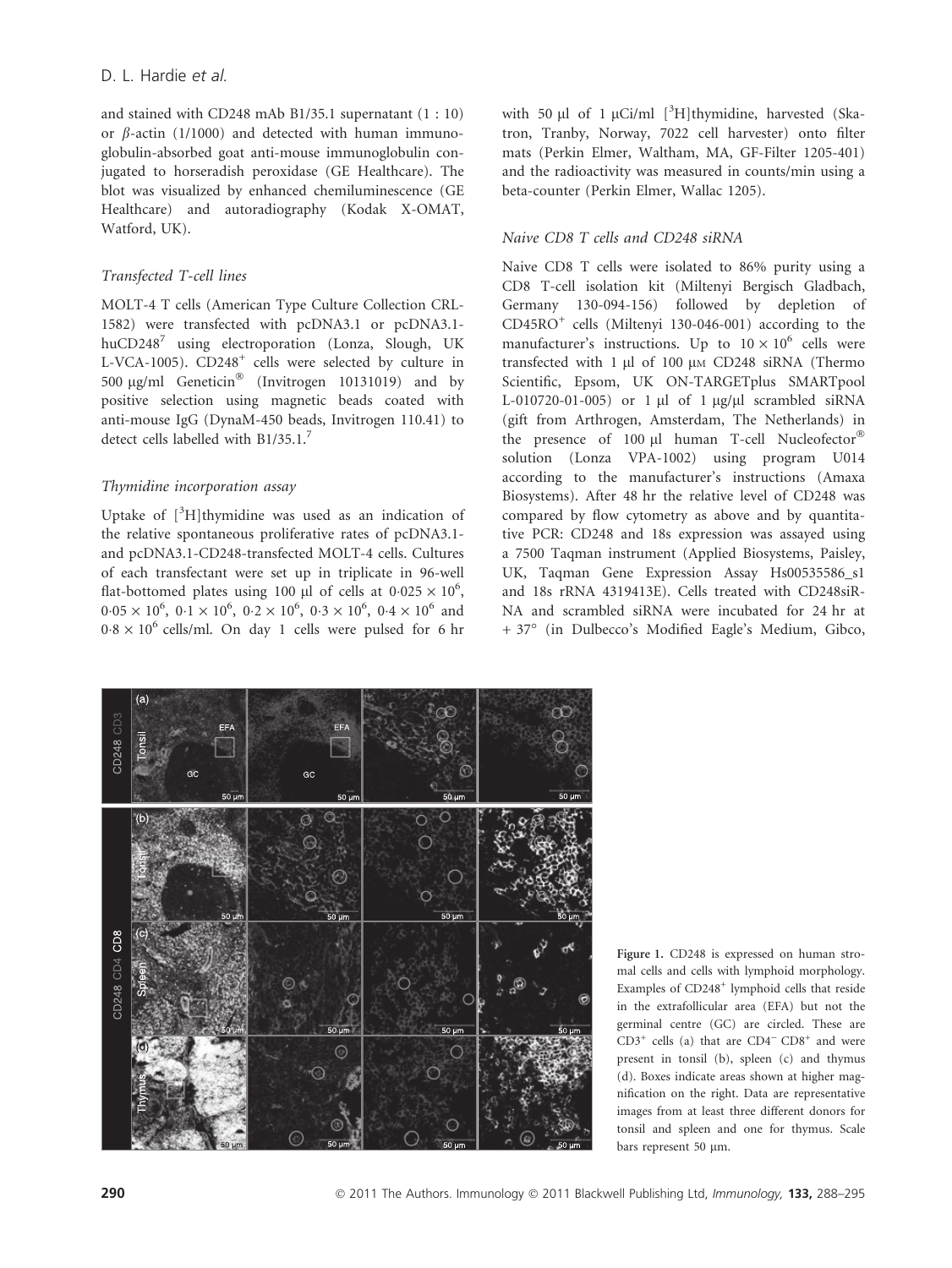and stained with CD248 mAb B1/35.1 supernatant (1 : 10) or  $\beta$ -actin (1/1000) and detected with human immunoglobulin-absorbed goat anti-mouse immunoglobulin conjugated to horseradish peroxidase (GE Healthcare). The blot was visualized by enhanced chemiluminescence (GE Healthcare) and autoradiography (Kodak X-OMAT, Watford, UK).

# Transfected T-cell lines

MOLT-4 T cells (American Type Culture Collection CRL-1582) were transfected with pcDNA3.1 or pcDNA3.1  $huCD248^7$  using electroporation (Lonza, Slough, UK L-VCA-1005). CD248<sup>+</sup> cells were selected by culture in 500 µg/ml Geneticin® (Invitrogen 10131019) and by positive selection using magnetic beads coated with anti-mouse IgG (DynaM-450 beads, Invitrogen 110.41) to detect cells labelled with B1/35.1.<sup>7</sup>

# Thymidine incorporation assay

Uptake of  $[^{3}H]$ thymidine was used as an indication of the relative spontaneous proliferative rates of pcDNA3.1 and pcDNA3.1-CD248-transfected MOLT-4 cells. Cultures of each transfectant were set up in triplicate in 96-well flat-bottomed plates using 100 µl of cells at  $0.025 \times 10^6$ ,  $0.05 \times 10^6$ ,  $0.1 \times 10^6$ ,  $0.2 \times 10^6$ ,  $0.3 \times 10^6$ ,  $0.4 \times 10^6$  and  $0.8 \times 10^6$  cells/ml. On day 1 cells were pulsed for 6 hr

with 50  $\mu$ l of 1  $\mu$ Ci/ml [<sup>3</sup>H]thymidine, harvested (Skatron, Tranby, Norway, 7022 cell harvester) onto filter mats (Perkin Elmer, Waltham, MA, GF-Filter 1205-401) and the radioactivity was measured in counts/min using a beta-counter (Perkin Elmer, Wallac 1205).

# Naive CD8 T cells and CD248 siRNA

Naive CD8 T cells were isolated to 86% purity using a CD8 T-cell isolation kit (Miltenyi Bergisch Gladbach, Germany 130-094-156) followed by depletion of CD45RO<sup>+</sup> cells (Miltenyi 130-046-001) according to the manufacturer's instructions. Up to  $10 \times 10^6$  cells were transfected with  $1 \mu l$  of  $100 \mu M$  CD248 siRNA (Thermo Scientific, Epsom, UK ON-TARGETplus SMARTpool L-010720-01-005) or 1  $\mu$ l of 1  $\mu$ g/ $\mu$ l scrambled siRNA (gift from Arthrogen, Amsterdam, The Netherlands) in the presence of 100  $\mu$ l human T-cell Nucleofector® solution (Lonza VPA-1002) using program U014 according to the manufacturer's instructions (Amaxa Biosystems). After 48 hr the relative level of CD248 was compared by flow cytometry as above and by quantitative PCR: CD248 and 18s expression was assayed using a 7500 Taqman instrument (Applied Biosystems, Paisley, UK, Taqman Gene Expression Assay Hs00535586\_s1 and 18s rRNA 4319413E). Cells treated with CD248siR-NA and scrambled siRNA were incubated for 24 hr at + 37° (in Dulbecco's Modified Eagle's Medium, Gibco,



Figure 1. CD248 is expressed on human stromal cells and cells with lymphoid morphology. Examples of CD248<sup>+</sup> lymphoid cells that reside in the extrafollicular area (EFA) but not the germinal centre (GC) are circled. These are  $CD3<sup>+</sup>$  cells (a) that are  $CD4<sup>-</sup>$  CD8<sup>+</sup> and were present in tonsil (b), spleen (c) and thymus (d). Boxes indicate areas shown at higher magnification on the right. Data are representative images from at least three different donors for tonsil and spleen and one for thymus. Scale bars represent 50 µm.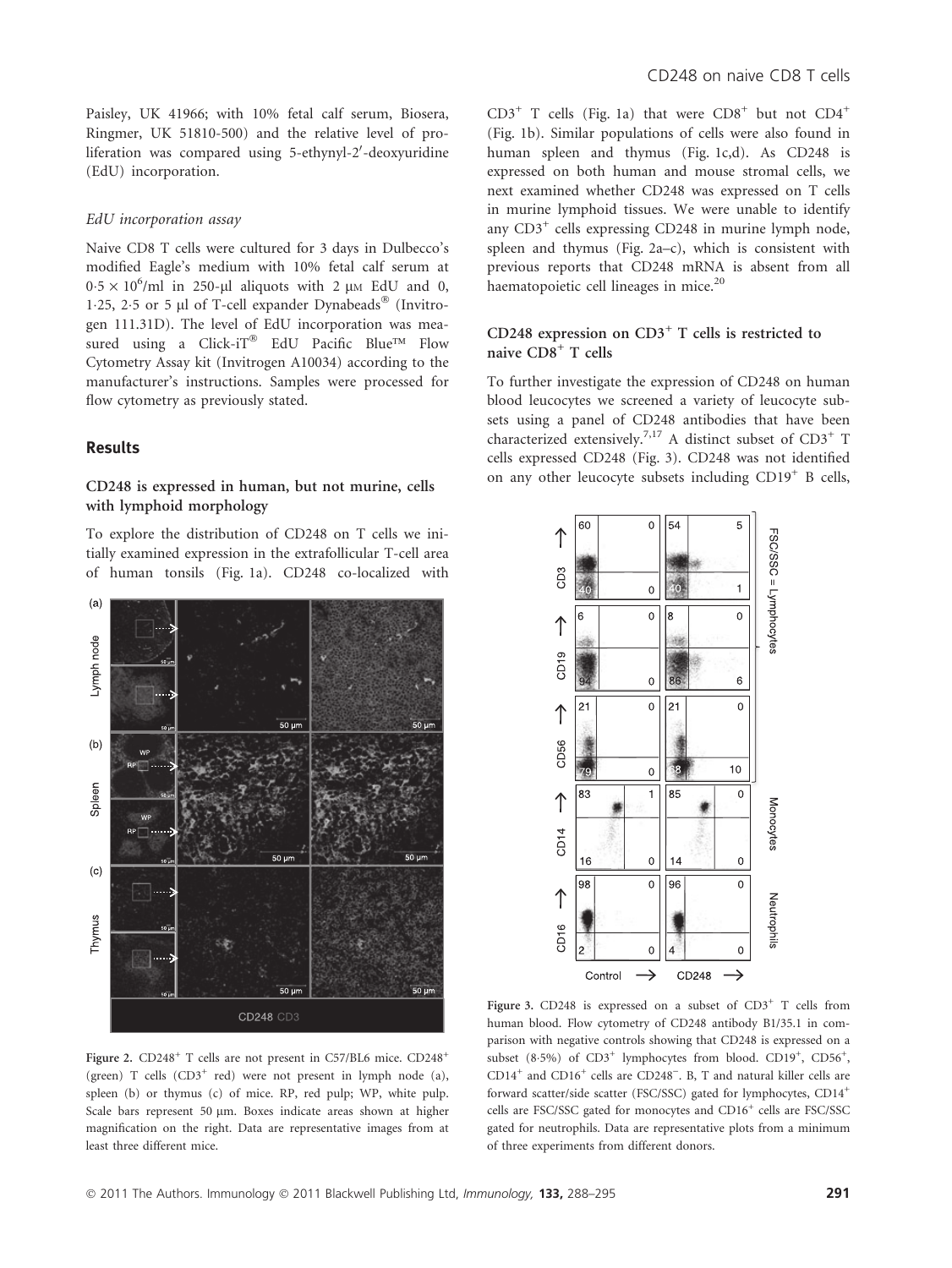Paisley, UK 41966; with 10% fetal calf serum, Biosera, Ringmer, UK 51810-500) and the relative level of proliferation was compared using 5-ethynyl-2'-deoxyuridine (EdU) incorporation.

#### EdU incorporation assay

Naive CD8 T cells were cultured for 3 days in Dulbecco's modified Eagle's medium with 10% fetal calf serum at  $0.5 \times 10^6$ /ml in 250-µl aliquots with 2 µm EdU and 0, 1.25, 2.5 or 5 µl of T-cell expander Dynabeads® (Invitrogen 111.31D). The level of EdU incorporation was measured using a Click-iT® EdU Pacific Blue<sup>™</sup> Flow Cytometry Assay kit (Invitrogen A10034) according to the manufacturer's instructions. Samples were processed for flow cytometry as previously stated.

# Results

# CD248 is expressed in human, but not murine, cells with lymphoid morphology

To explore the distribution of CD248 on T cells we initially examined expression in the extrafollicular T-cell area of human tonsils (Fig. 1a). CD248 co-localized with



 $CD3^+$  T cells (Fig. 1a) that were  $CD8^+$  but not  $CD4^+$ (Fig. 1b). Similar populations of cells were also found in human spleen and thymus (Fig. 1c,d). As CD248 is expressed on both human and mouse stromal cells, we next examined whether CD248 was expressed on T cells in murine lymphoid tissues. We were unable to identify any  $CD3^+$  cells expressing  $CD248$  in murine lymph node, spleen and thymus (Fig. 2a–c), which is consistent with previous reports that CD248 mRNA is absent from all haematopoietic cell lineages in mice.<sup>20</sup>

# CD248 expression on  $CD3<sup>+</sup>$  T cells is restricted to naive CD8<sup>+</sup> T cells

To further investigate the expression of CD248 on human blood leucocytes we screened a variety of leucocyte subsets using a panel of CD248 antibodies that have been characterized extensively.7,17 A distinct subset of CD3+ T cells expressed CD248 (Fig. 3). CD248 was not identified on any other leucocyte subsets including CD19<sup>+</sup> B cells,



Figure 2. CD248<sup>+</sup> T cells are not present in C57/BL6 mice. CD248<sup>+</sup> (green) T cells  $(CD3<sup>+</sup>$  red) were not present in lymph node (a), spleen (b) or thymus (c) of mice. RP, red pulp; WP, white pulp. Scale bars represent 50 µm. Boxes indicate areas shown at higher magnification on the right. Data are representative images from at least three different mice.

Figure 3. CD248 is expressed on a subset of CD3<sup>+</sup> T cells from human blood. Flow cytometry of CD248 antibody B1/35.1 in comparison with negative controls showing that CD248 is expressed on a subset (8.5%) of CD3<sup>+</sup> lymphocytes from blood. CD19<sup>+</sup>, CD56<sup>+</sup>, CD14<sup>+</sup> and CD16<sup>+</sup> cells are CD248<sup>-</sup>. B, T and natural killer cells are forward scatter/side scatter (FSC/SSC) gated for lymphocytes, CD14+ cells are FSC/SSC gated for monocytes and CD16+ cells are FSC/SSC gated for neutrophils. Data are representative plots from a minimum of three experiments from different donors.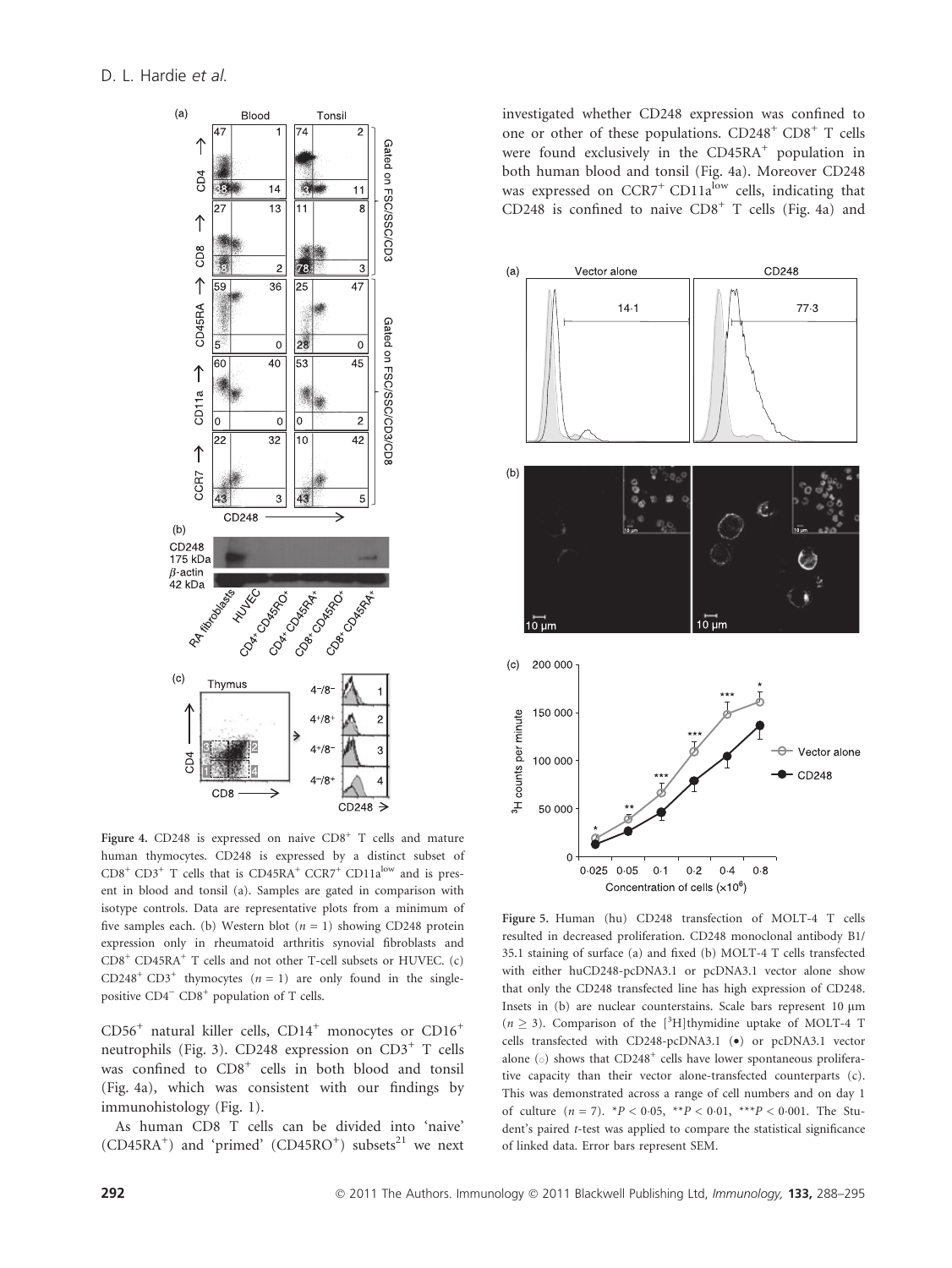

Figure 4. CD248 is expressed on naive  $CDS<sup>+</sup> T$  cells and mature human thymocytes. CD248 is expressed by a distinct subset of  $CD8<sup>+</sup> CD3<sup>+</sup> T$  cells that is  $CD45RA<sup>+</sup> CCR7<sup>+</sup> CD11a<sup>low</sup>$  and is present in blood and tonsil (a). Samples are gated in comparison with isotype controls. Data are representative plots from a minimum of five samples each. (b) Western blot  $(n = 1)$  showing CD248 protein expression only in rheumatoid arthritis synovial fibroblasts and CD8+ CD45RA+ T cells and not other T-cell subsets or HUVEC. (c) CD248<sup>+</sup> CD3<sup>+</sup> thymocytes  $(n = 1)$  are only found in the singlepositive  $CD4^ CD8^+$  population of T cells.

 $CD56<sup>+</sup>$  natural killer cells,  $CD14<sup>+</sup>$  monocytes or  $CD16<sup>+</sup>$ neutrophils (Fig. 3). CD248 expression on  $CD3^+$  T cells was confined to  $CDB<sup>+</sup>$  cells in both blood and tonsil (Fig. 4a), which was consistent with our findings by immunohistology (Fig. 1).

As human CD8 T cells can be divided into 'naive'  $(CD45RA^+)$  and 'primed'  $(CD45RO^+)$  subsets<sup>21</sup> we next

investigated whether CD248 expression was confined to one or other of these populations.  $CD248<sup>+</sup> CD8<sup>+</sup> T$  cells were found exclusively in the  $CD45RA<sup>+</sup>$  population in both human blood and tonsil (Fig. 4a). Moreover CD248 was expressed on  $CCR7$ <sup>+</sup> CD11a<sup>low</sup> cells, indicating that CD248 is confined to naive  $CD8<sup>+</sup>$  T cells (Fig. 4a) and



Figure 5. Human (hu) CD248 transfection of MOLT-4 T cells resulted in decreased proliferation. CD248 monoclonal antibody B1/ 35.1 staining of surface (a) and fixed (b) MOLT-4 T cells transfected with either huCD248-pcDNA3.1 or pcDNA3.1 vector alone show that only the CD248 transfected line has high expression of CD248. Insets in  $(b)$  are nuclear counterstains. Scale bars represent 10  $\mu$ m  $(n \ge 3)$ . Comparison of the [<sup>3</sup>H]thymidine uptake of MOLT-4 T cells transfected with CD248-pcDNA3.1 (•) or pcDNA3.1 vector alone  $\circ$  shows that CD248<sup>+</sup> cells have lower spontaneous proliferative capacity than their vector alone-transfected counterparts (c). This was demonstrated across a range of cell numbers and on day 1 of culture  $(n = 7)$ . \* $P < 0.05$ , \*\* $P < 0.01$ , \*\*\* $P < 0.001$ . The Student's paired t-test was applied to compare the statistical significance of linked data. Error bars represent SEM.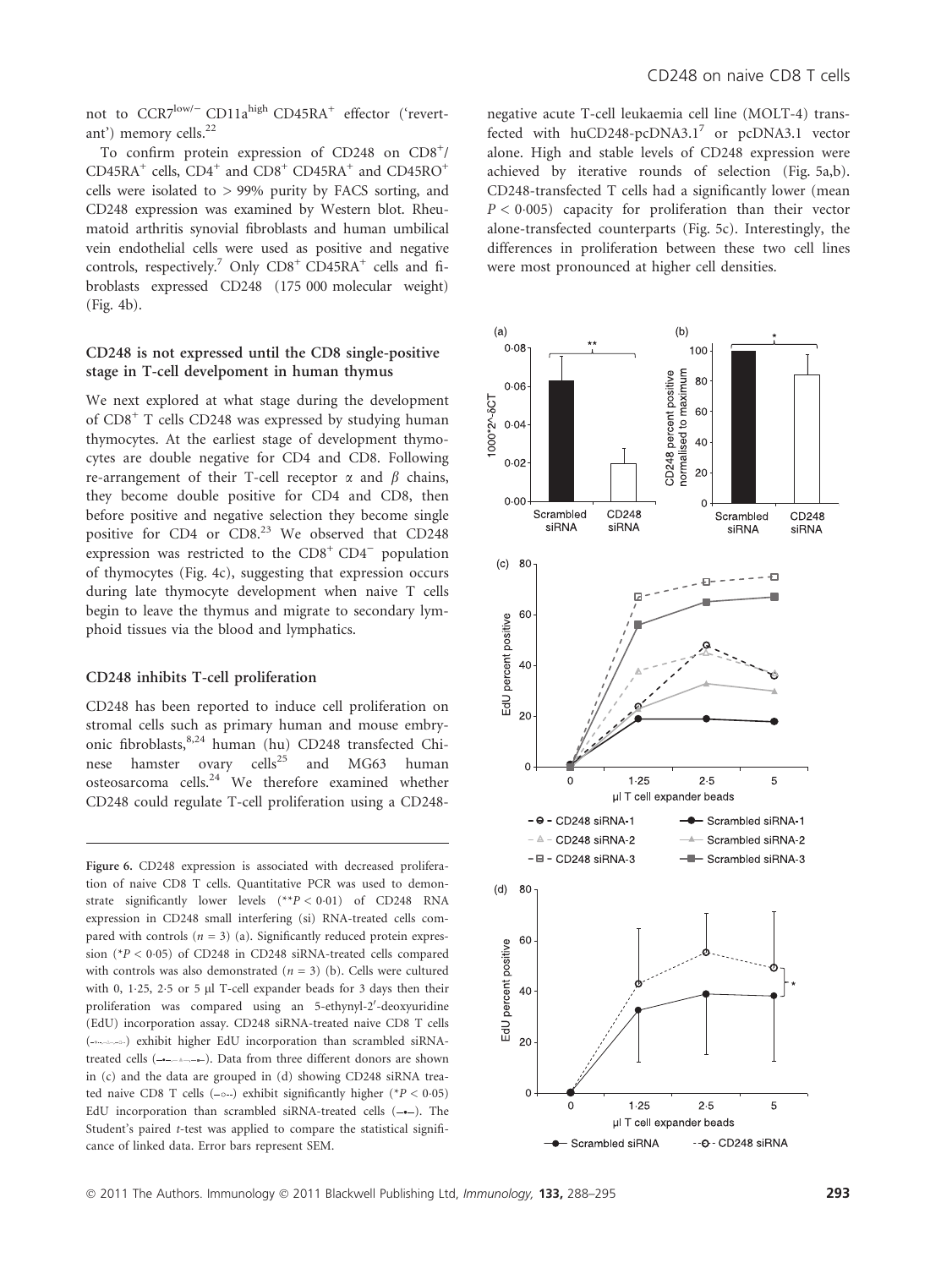not to CCR7<sup>low/-</sup> CD11a<sup>high</sup> CD45RA<sup>+</sup> effector ('revertant') memory cells.<sup>22</sup>

To confirm protein expression of CD248 on CD8<sup>+</sup>/  $CD45RA^{+}$  cells,  $CD4^{+}$  and  $CD8^{+}$   $CD45RA^{+}$  and  $CD45RO^{+}$ cells were isolated to  $> 99\%$  purity by FACS sorting, and CD248 expression was examined by Western blot. Rheumatoid arthritis synovial fibroblasts and human umbilical vein endothelial cells were used as positive and negative controls, respectively.<sup>7</sup> Only  $CDS^+$   $CD45RA^+$  cells and fibroblasts expressed CD248 (175 000 molecular weight) (Fig. 4b).

# CD248 is not expressed until the CD8 single-positive stage in T-cell develpoment in human thymus

We next explored at what stage during the development of CD8+ T cells CD248 was expressed by studying human thymocytes. At the earliest stage of development thymocytes are double negative for CD4 and CD8. Following re-arrangement of their T-cell receptor  $\alpha$  and  $\beta$  chains, they become double positive for CD4 and CD8, then before positive and negative selection they become single positive for CD4 or CD8.<sup>23</sup> We observed that CD248 expression was restricted to the  $CD8<sup>+</sup> CD4<sup>-</sup>$  population of thymocytes (Fig. 4c), suggesting that expression occurs during late thymocyte development when naive T cells begin to leave the thymus and migrate to secondary lymphoid tissues via the blood and lymphatics.

### CD248 inhibits T-cell proliferation

CD248 has been reported to induce cell proliferation on stromal cells such as primary human and mouse embryonic fibroblasts,8,24 human (hu) CD248 transfected Chinese hamster ovary cells<sup>25</sup> and MG63 human osteosarcoma cells.24 We therefore examined whether CD248 could regulate T-cell proliferation using a CD248-

Figure 6. CD248 expression is associated with decreased proliferation of naive CD8 T cells. Quantitative PCR was used to demonstrate significantly lower levels (\*\*P < 0-01) of CD248 RNA expression in CD248 small interfering (si) RNA-treated cells compared with controls ( $n = 3$ ) (a). Significantly reduced protein expression (\*P < 0-05) of CD248 in CD248 siRNA-treated cells compared with controls was also demonstrated ( $n = 3$ ) (b). Cells were cultured with 0, 1.25, 2.5 or 5 µl T-cell expander beads for 3 days then their proliferation was compared using an 5-ethynyl-2'-deoxyuridine (EdU) incorporation assay. CD248 siRNA-treated naive CD8 T cells ( ) exhibit higher EdU incorporation than scrambled siRNAtreated cells (-------). Data from three different donors are shown in (c) and the data are grouped in (d) showing CD248 siRNA treated naive CD8 T cells  $(-\circ-)$  exhibit significantly higher  $(*P < 0.05)$ EdU incorporation than scrambled siRNA-treated cells  $(--)$ . The Student's paired t-test was applied to compare the statistical significance of linked data. Error bars represent SEM.

negative acute T-cell leukaemia cell line (MOLT-4) transfected with  $huCD248-pcDNA3.1^{7}$  or  $pcDNA3.1$  vector alone. High and stable levels of CD248 expression were achieved by iterative rounds of selection (Fig. 5a,b). CD248-transfected T cells had a significantly lower (mean  $P < 0.005$ ) capacity for proliferation than their vector alone-transfected counterparts (Fig. 5c). Interestingly, the differences in proliferation between these two cell lines were most pronounced at higher cell densities.

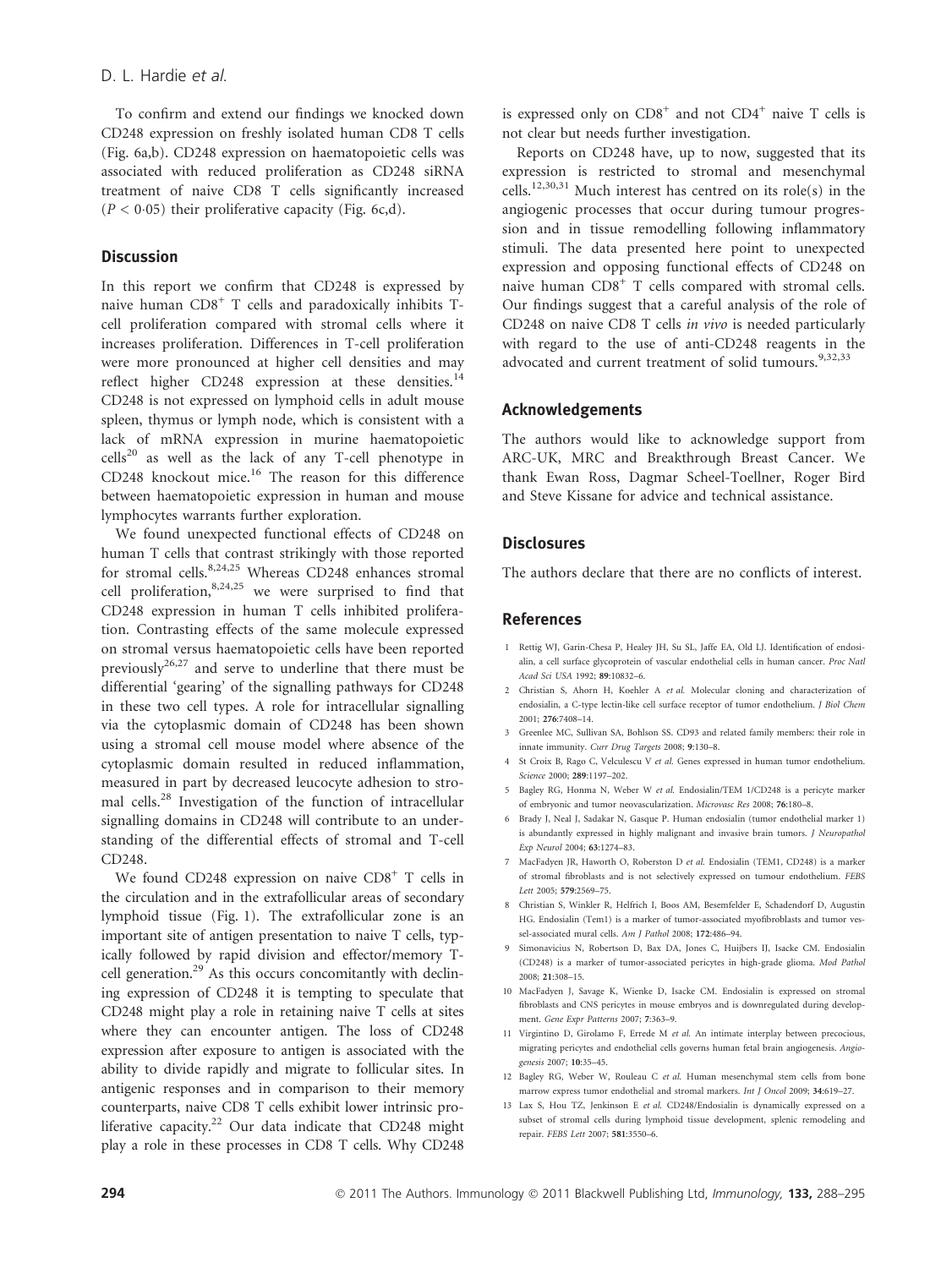To confirm and extend our findings we knocked down CD248 expression on freshly isolated human CD8 T cells (Fig. 6a,b). CD248 expression on haematopoietic cells was associated with reduced proliferation as CD248 siRNA treatment of naive CD8 T cells significantly increased  $(P < 0.05)$  their proliferative capacity (Fig. 6c,d).

# **Discussion**

In this report we confirm that CD248 is expressed by naive human CD8<sup>+</sup> T cells and paradoxically inhibits Tcell proliferation compared with stromal cells where it increases proliferation. Differences in T-cell proliferation were more pronounced at higher cell densities and may reflect higher  $CD248$  expression at these densities.<sup>14</sup> CD248 is not expressed on lymphoid cells in adult mouse spleen, thymus or lymph node, which is consistent with a lack of mRNA expression in murine haematopoietic  $cells<sup>20</sup>$  as well as the lack of any T-cell phenotype in CD248 knockout mice.<sup>16</sup> The reason for this difference between haematopoietic expression in human and mouse lymphocytes warrants further exploration.

We found unexpected functional effects of CD248 on human T cells that contrast strikingly with those reported for stromal cells.<sup>8,24,25</sup> Whereas CD248 enhances stromal cell proliferation,  $8,24,25$  we were surprised to find that CD248 expression in human T cells inhibited proliferation. Contrasting effects of the same molecule expressed on stromal versus haematopoietic cells have been reported previously<sup>26,27</sup> and serve to underline that there must be differential 'gearing' of the signalling pathways for CD248 in these two cell types. A role for intracellular signalling via the cytoplasmic domain of CD248 has been shown using a stromal cell mouse model where absence of the cytoplasmic domain resulted in reduced inflammation, measured in part by decreased leucocyte adhesion to stromal cells.<sup>28</sup> Investigation of the function of intracellular signalling domains in CD248 will contribute to an understanding of the differential effects of stromal and T-cell CD248.

We found CD248 expression on naive  $CD8<sup>+</sup>$  T cells in the circulation and in the extrafollicular areas of secondary lymphoid tissue (Fig. 1). The extrafollicular zone is an important site of antigen presentation to naive T cells, typically followed by rapid division and effector/memory Tcell generation.<sup>29</sup> As this occurs concomitantly with declining expression of CD248 it is tempting to speculate that CD248 might play a role in retaining naive T cells at sites where they can encounter antigen. The loss of CD248 expression after exposure to antigen is associated with the ability to divide rapidly and migrate to follicular sites. In antigenic responses and in comparison to their memory counterparts, naive CD8 T cells exhibit lower intrinsic proliferative capacity.<sup>22</sup> Our data indicate that CD248 might play a role in these processes in CD8 T cells. Why CD248 is expressed only on  $CD8^+$  and not  $CD4^+$  naive T cells is not clear but needs further investigation.

Reports on CD248 have, up to now, suggested that its expression is restricted to stromal and mesenchymal cells.12,30,31 Much interest has centred on its role(s) in the angiogenic processes that occur during tumour progression and in tissue remodelling following inflammatory stimuli. The data presented here point to unexpected expression and opposing functional effects of CD248 on naive human CD8<sup>+</sup> T cells compared with stromal cells. Our findings suggest that a careful analysis of the role of CD248 on naive CD8 T cells in vivo is needed particularly with regard to the use of anti-CD248 reagents in the advocated and current treatment of solid tumours.<sup>9,32,33</sup>

#### Acknowledgements

The authors would like to acknowledge support from ARC-UK, MRC and Breakthrough Breast Cancer. We thank Ewan Ross, Dagmar Scheel-Toellner, Roger Bird and Steve Kissane for advice and technical assistance.

## **Disclosures**

The authors declare that there are no conflicts of interest.

# References

- 1 Rettig WJ, Garin-Chesa P, Healey JH, Su SL, Jaffe EA, Old LJ. Identification of endosialin, a cell surface glycoprotein of vascular endothelial cells in human cancer. Proc Natl Acad Sci USA 1992; 89:10832–6.
- 2 Christian S, Ahorn H, Koehler A et al. Molecular cloning and characterization of endosialin, a C-type lectin-like cell surface receptor of tumor endothelium. J Biol Chem 2001; 276:7408–14.
- 3 Greenlee MC, Sullivan SA, Bohlson SS. CD93 and related family members: their role in innate immunity. Curr Drug Targets 2008; 9:130–8.
- 4 St Croix B, Rago C, Velculescu V et al. Genes expressed in human tumor endothelium Science 2000; 289:1197–202.
- 5 Bagley RG, Honma N, Weber W et al. Endosialin/TEM 1/CD248 is a pericyte marker of embryonic and tumor neovascularization. Microvasc Res 2008; 76:180–8.
- 6 Brady J, Neal J, Sadakar N, Gasque P. Human endosialin (tumor endothelial marker 1) is abundantly expressed in highly malignant and invasive brain tumors. *I Neuropathol* Exp Neurol 2004; 63:1274–83.
- 7 MacFadyen JR, Haworth O, Roberston D et al. Endosialin (TEM1, CD248) is a marker of stromal fibroblasts and is not selectively expressed on tumour endothelium. FEBS Lett 2005; 579:2569–75.
- 8 Christian S, Winkler R, Helfrich I, Boos AM, Besemfelder E, Schadendorf D, Augustin HG. Endosialin (Tem1) is a marker of tumor-associated myofibroblasts and tumor vessel-associated mural cells. Am J Pathol 2008; 172:486–94.
- 9 Simonavicius N, Robertson D, Bax DA, Jones C, Huijbers IJ, Isacke CM. Endosialin (CD248) is a marker of tumor-associated pericytes in high-grade glioma. Mod Pathol 2008; 21:308–15.
- 10 MacFadyen J, Savage K, Wienke D, Isacke CM. Endosialin is expressed on stromal fibroblasts and CNS pericytes in mouse embryos and is downregulated during development. Gene Expr Patterns 2007; 7:363–9.
- 11 Virgintino D, Girolamo F, Errede M et al. An intimate interplay between precocious, migrating pericytes and endothelial cells governs human fetal brain angiogenesis. Angiogenesis 2007; 10:35–45.
- 12 Bagley RG, Weber W, Rouleau C et al. Human mesenchymal stem cells from bone marrow express tumor endothelial and stromal markers. Int J Oncol 2009; 34:619–27.
- 13 Lax S, Hou TZ, Jenkinson E et al. CD248/Endosialin is dynamically expressed on a subset of stromal cells during lymphoid tissue development, splenic remodeling and repair. FEBS Lett 2007; 581:3550–6.